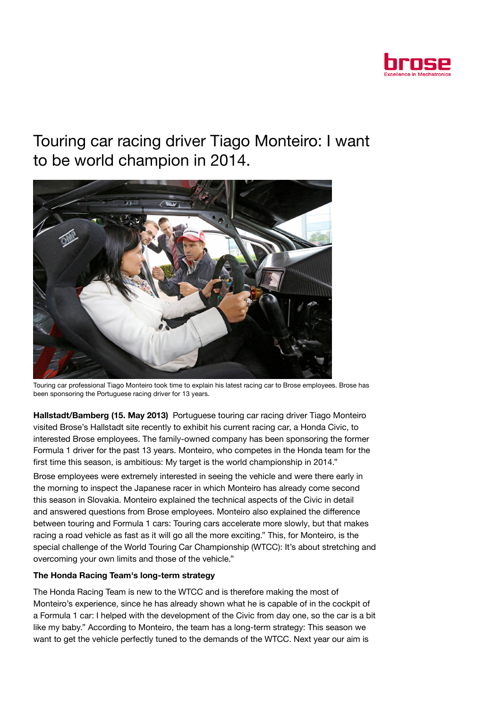

## Touring car racing driver Tiago Monteiro: I want to be world champion in 2014.



Touring car professional Tiago Monteiro took time to explain his latest racing car to Brose employees. Brose has been sponsoring the Portuguese racing driver for 13 years.

Hallstadt/Bamberg (15. May 2013) Portuguese touring car racing driver Tiago Monteiro visited Brose's Hallstadt site recently to exhibit his current racing car, a Honda Civic, to interested Brose employees. The family-owned company has been sponsoring the former Formula 1 driver for the past 13 years. Monteiro, who competes in the Honda team for the first time this season, is ambitious: My target is the world championship in 2014."

Brose employees were extremely interested in seeing the vehicle and were there early in the morning to inspect the Japanese racer in which Monteiro has already come second this season in Slovakia. Monteiro explained the technical aspects of the Civic in detail and answered questions from Brose employees. Monteiro also explained the difference between touring and Formula 1 cars: Touring cars accelerate more slowly, but that makes racing a road vehicle as fast as it will go all the more exciting." This, for Monteiro, is the special challenge of the World Touring Car Championship (WTCC): It's about stretching and overcoming your own limits and those of the vehicle."

## The Honda Racing Team's long-term strategy

The Honda Racing Team is new to the WTCC and is therefore making the most of Monteiro's experience, since he has already shown what he is capable of in the cockpit of a Formula 1 car: I helped with the development of the Civic from day one, so the car is a bit like my baby." According to Monteiro, the team has a long-term strategy: This season we want to get the vehicle perfectly tuned to the demands of the WTCC. Next year our aim is